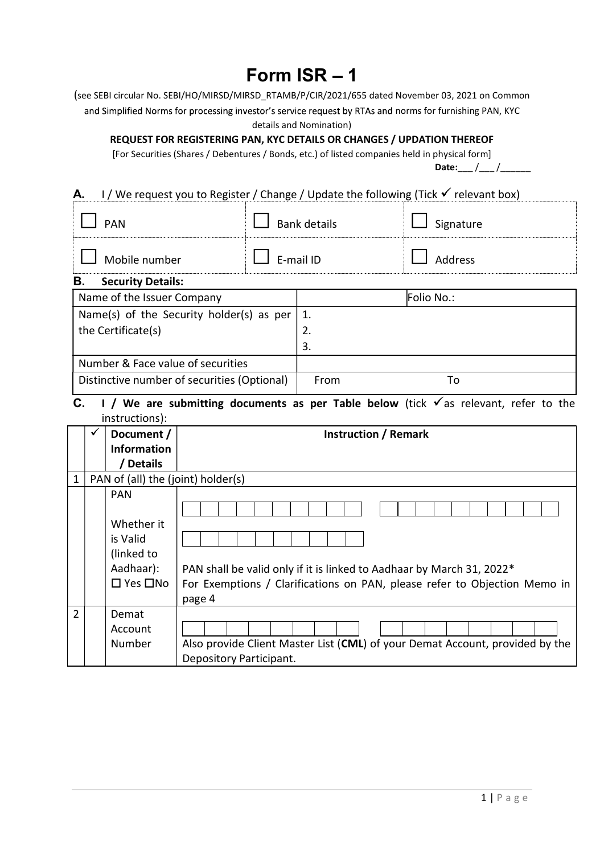## Form  $ISR - 1$

(see SEBI circular No. SEBI/HO/MIRSD/MIRSD\_RTAMB/P/CIR/2021/655 dated November 03, 2021 on Common and Simplified Norms for processing investor's service request by RTAs and norms for furnishing PAN, KYC

details and Nomination)

REQUEST FOR REGISTERING PAN, KYC DETAILS OR CHANGES / UPDATION THEREOF

[For Securities (Shares / Debentures / Bonds, etc.) of listed companies held in physical form]

Date:  $/$  /

## **A.** I / We request you to Register / Change / Update the following (Tick  $\checkmark$  relevant box)

| $\overline{h}$                 |                     | $\Gamma$ - $\Gamma$ - M - $\Gamma$ |  |  |  |
|--------------------------------|---------------------|------------------------------------|--|--|--|
| В.<br><b>Security Details:</b> |                     |                                    |  |  |  |
| Mobile number                  | E-mail ID           | Address                            |  |  |  |
| <b>PAN</b>                     | <b>Bank details</b> | Signature                          |  |  |  |

| Name of the Issuer Company                      | Folio No.: |
|-------------------------------------------------|------------|
| Name(s) of the Security holder(s) as per $ 1$ . |            |
| the Certificate(s)                              | 2.         |
|                                                 | 3.         |
| Number & Face value of securities               |            |
| Distinctive number of securities (Optional)     | From<br>To |

## C. I / We are submitting documents as per Table below (tick  $\checkmark$  as relevant, refer to the instructions):

|                | Document /                         | <b>Instruction / Remark</b>                                                  |  |  |
|----------------|------------------------------------|------------------------------------------------------------------------------|--|--|
|                | <b>Information</b>                 |                                                                              |  |  |
|                | <b>Details</b>                     |                                                                              |  |  |
| 1              | PAN of (all) the (joint) holder(s) |                                                                              |  |  |
|                | <b>PAN</b>                         |                                                                              |  |  |
|                |                                    |                                                                              |  |  |
|                | Whether it                         |                                                                              |  |  |
|                | is Valid                           |                                                                              |  |  |
|                | (linked to                         |                                                                              |  |  |
|                | Aadhaar):                          | PAN shall be valid only if it is linked to Aadhaar by March 31, 2022*        |  |  |
|                | $\square$ Yes $\square$ No         | For Exemptions / Clarifications on PAN, please refer to Objection Memo in    |  |  |
|                |                                    | page 4                                                                       |  |  |
| $\overline{2}$ | Demat                              |                                                                              |  |  |
|                | Account                            |                                                                              |  |  |
|                | Number                             | Also provide Client Master List (CML) of your Demat Account, provided by the |  |  |
|                |                                    | Depository Participant.                                                      |  |  |